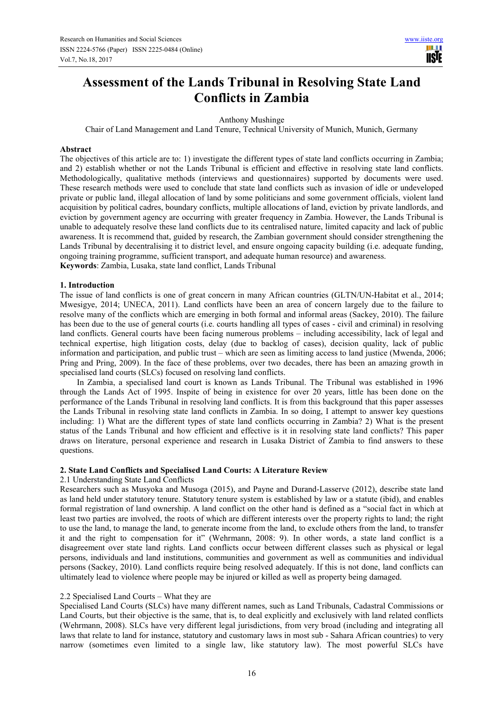# **Assessment of the Lands Tribunal in Resolving State Land Conflicts in Zambia**

Anthony Mushinge

Chair of Land Management and Land Tenure, Technical University of Munich, Munich, Germany

#### **Abstract**

The objectives of this article are to: 1) investigate the different types of state land conflicts occurring in Zambia; and 2) establish whether or not the Lands Tribunal is efficient and effective in resolving state land conflicts. Methodologically, qualitative methods (interviews and questionnaires) supported by documents were used. These research methods were used to conclude that state land conflicts such as invasion of idle or undeveloped private or public land, illegal allocation of land by some politicians and some government officials, violent land acquisition by political cadres, boundary conflicts, multiple allocations of land, eviction by private landlords, and eviction by government agency are occurring with greater frequency in Zambia. However, the Lands Tribunal is unable to adequately resolve these land conflicts due to its centralised nature, limited capacity and lack of public awareness. It is recommend that, guided by research, the Zambian government should consider strengthening the Lands Tribunal by decentralising it to district level, and ensure ongoing capacity building (i.e. adequate funding, ongoing training programme, sufficient transport, and adequate human resource) and awareness. **Keywords**: Zambia, Lusaka, state land conflict, Lands Tribunal

#### **1. Introduction**

The issue of land conflicts is one of great concern in many African countries (GLTN/UN-Habitat et al., 2014; Mwesigye, 2014; UNECA, 2011). Land conflicts have been an area of concern largely due to the failure to resolve many of the conflicts which are emerging in both formal and informal areas (Sackey, 2010). The failure has been due to the use of general courts (i.e. courts handling all types of cases - civil and criminal) in resolving land conflicts. General courts have been facing numerous problems – including accessibility, lack of legal and technical expertise, high litigation costs, delay (due to backlog of cases), decision quality, lack of public information and participation, and public trust – which are seen as limiting access to land justice (Mwenda, 2006; Pring and Pring, 2009). In the face of these problems, over two decades, there has been an amazing growth in specialised land courts (SLCs) focused on resolving land conflicts.

In Zambia, a specialised land court is known as Lands Tribunal. The Tribunal was established in 1996 through the Lands Act of 1995. Inspite of being in existence for over 20 years, little has been done on the performance of the Lands Tribunal in resolving land conflicts. It is from this background that this paper assesses the Lands Tribunal in resolving state land conflicts in Zambia. In so doing, I attempt to answer key questions including: 1) What are the different types of state land conflicts occurring in Zambia? 2) What is the present status of the Lands Tribunal and how efficient and effective is it in resolving state land conflicts? This paper draws on literature, personal experience and research in Lusaka District of Zambia to find answers to these questions.

#### **2. State Land Conflicts and Specialised Land Courts: A Literature Review**

#### 2.1 Understanding State Land Conflicts

Researchers such as Musyoka and Musoga (2015), and Payne and Durand-Lasserve (2012), describe state land as land held under statutory tenure. Statutory tenure system is established by law or a statute (ibid), and enables formal registration of land ownership. A land conflict on the other hand is defined as a "social fact in which at least two parties are involved, the roots of which are different interests over the property rights to land; the right to use the land, to manage the land, to generate income from the land, to exclude others from the land, to transfer it and the right to compensation for it" (Wehrmann, 2008: 9). In other words, a state land conflict is a disagreement over state land rights. Land conflicts occur between different classes such as physical or legal persons, individuals and land institutions, communities and government as well as communities and individual persons (Sackey, 2010). Land conflicts require being resolved adequately. If this is not done, land conflicts can ultimately lead to violence where people may be injured or killed as well as property being damaged.

#### 2.2 Specialised Land Courts – What they are

Specialised Land Courts (SLCs) have many different names, such as Land Tribunals, Cadastral Commissions or Land Courts, but their objective is the same, that is, to deal explicitly and exclusively with land related conflicts (Wehrmann, 2008). SLCs have very different legal jurisdictions, from very broad (including and integrating all laws that relate to land for instance, statutory and customary laws in most sub - Sahara African countries) to very narrow (sometimes even limited to a single law, like statutory law). The most powerful SLCs have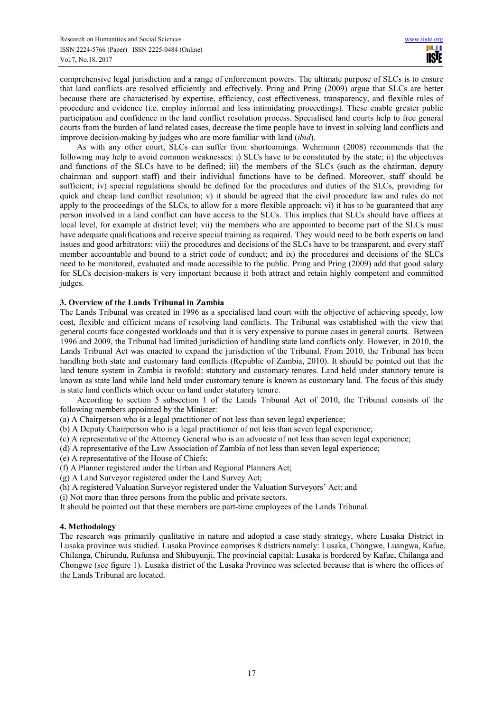comprehensive legal jurisdiction and a range of enforcement powers. The ultimate purpose of SLCs is to ensure that land conflicts are resolved efficiently and effectively. Pring and Pring (2009) argue that SLCs are better because there are characterised by expertise, efficiency, cost effectiveness, transparency, and flexible rules of procedure and evidence (i.e. employ informal and less intimidating proceedings). These enable greater public participation and confidence in the land conflict resolution process. Specialised land courts help to free general courts from the burden of land related cases, decrease the time people have to invest in solving land conflicts and improve decision-making by judges who are more familiar with land (*ibid*).

As with any other court, SLCs can suffer from shortcomings. Wehrmann (2008) recommends that the following may help to avoid common weaknesses: i) SLCs have to be constituted by the state; ii) the objectives and functions of the SLCs have to be defined; iii) the members of the SLCs (such as the chairman, deputy chairman and support staff) and their individual functions have to be defined. Moreover, staff should be sufficient; iv) special regulations should be defined for the procedures and duties of the SLCs, providing for quick and cheap land conflict resolution;  $v$ ) it should be agreed that the civil procedure law and rules do not apply to the proceedings of the SLCs, to allow for a more flexible approach; vi) it has to be guaranteed that any person involved in a land conflict can have access to the SLCs. This implies that SLCs should have offices at local level, for example at district level; vii) the members who are appointed to become part of the SLCs must have adequate qualifications and receive special training as required. They would need to be both experts on land issues and good arbitrators; viii) the procedures and decisions of the SLCs have to be transparent, and every staff member accountable and bound to a strict code of conduct; and ix) the procedures and decisions of the SLCs need to be monitored, evaluated and made accessible to the public. Pring and Pring (2009) add that good salary for SLCs decision-makers is very important because it both attract and retain highly competent and committed judges.

## **3. Overview of the Lands Tribunal in Zambia**

The Lands Tribunal was created in 1996 as a specialised land court with the objective of achieving speedy, low cost, flexible and efficient means of resolving land conflicts. The Tribunal was established with the view that general courts face congested workloads and that it is very expensive to pursue cases in general courts. Between 1996 and 2009, the Tribunal had limited jurisdiction of handling state land conflicts only. However, in 2010, the Lands Tribunal Act was enacted to expand the jurisdiction of the Tribunal. From 2010, the Tribunal has been handling both state and customary land conflicts (Republic of Zambia, 2010). It should be pointed out that the land tenure system in Zambia is twofold: statutory and customary tenures. Land held under statutory tenure is known as state land while land held under customary tenure is known as customary land. The focus of this study is state land conflicts which occur on land under statutory tenure.

According to section 5 subsection 1 of the Lands Tribunal Act of 2010, the Tribunal consists of the following members appointed by the Minister:

(a) A Chairperson who is a legal practitioner of not less than seven legal experience;

(b) A Deputy Chairperson who is a legal practitioner of not less than seven legal experience;

(c) A representative of the Attorney General who is an advocate of not less than seven legal experience;

(d) A representative of the Law Association of Zambia of not less than seven legal experience;

(e) A representative of the House of Chiefs;

(f) A Planner registered under the Urban and Regional Planners Act;

(g) A Land Surveyor registered under the Land Survey Act;

(h) A registered Valuation Surveyor registered under the Valuation Surveyors' Act; and

(i) Not more than three persons from the public and private sectors.

It should be pointed out that these members are part-time employees of the Lands Tribunal.

## **4. Methodology**

The research was primarily qualitative in nature and adopted a case study strategy, where Lusaka District in Lusaka province was studied. Lusaka Province comprises 8 districts namely: Lusaka, Chongwe, Luangwa, Kafue, Chilanga, Chirundu, Rufunsa and Shibuyunji. The provincial capital: Lusaka is bordered by Kafue, Chilanga and Chongwe (see figure 1). Lusaka district of the Lusaka Province was selected because that is where the offices of the Lands Tribunal are located.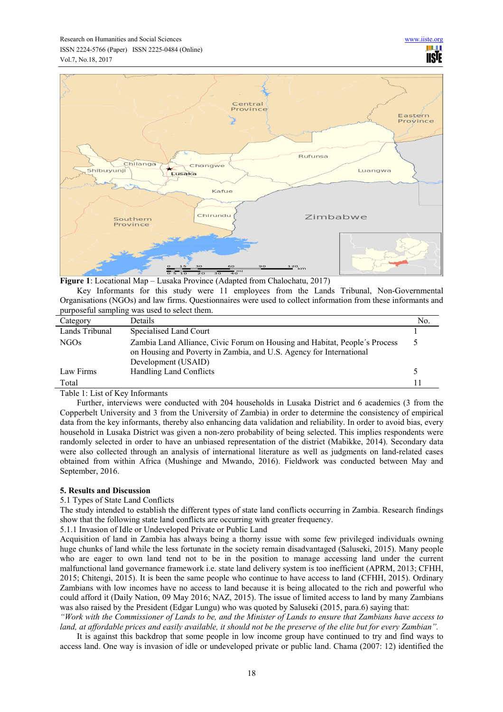

**Figure 1**: Locational Map – Lusaka Province (Adapted from Chalochatu, 2017)

Key Informants for this study were 11 employees from the Lands Tribunal, Non-Governmental Organisations (NGOs) and law firms. Questionnaires were used to collect information from these informants and purposeful sampling was used to select them.

| Category         | <b>Details</b>                                                                                                                                                           | No. |  |  |
|------------------|--------------------------------------------------------------------------------------------------------------------------------------------------------------------------|-----|--|--|
| Lands Tribunal   | Specialised Land Court                                                                                                                                                   |     |  |  |
| NGO <sub>s</sub> | Zambia Land Alliance, Civic Forum on Housing and Habitat, People's Process<br>on Housing and Poverty in Zambia, and U.S. Agency for International<br>Development (USAID) |     |  |  |
| Law Firms        | Handling Land Conflicts                                                                                                                                                  |     |  |  |
| Total            |                                                                                                                                                                          |     |  |  |

Table 1: List of Key Informants

Further, interviews were conducted with 204 households in Lusaka District and 6 academics (3 from the Copperbelt University and 3 from the University of Zambia) in order to determine the consistency of empirical data from the key informants, thereby also enhancing data validation and reliability. In order to avoid bias, every household in Lusaka District was given a non-zero probability of being selected. This implies respondents were randomly selected in order to have an unbiased representation of the district (Mabikke, 2014). Secondary data were also collected through an analysis of international literature as well as judgments on land-related cases obtained from within Africa (Mushinge and Mwando, 2016). Fieldwork was conducted between May and September, 2016.

## **5. Results and Discussion**

5.1 Types of State Land Conflicts

The study intended to establish the different types of state land conflicts occurring in Zambia. Research findings show that the following state land conflicts are occurring with greater frequency.

5.1.1 Invasion of Idle or Undeveloped Private or Public Land

Acquisition of land in Zambia has always being a thorny issue with some few privileged individuals owning huge chunks of land while the less fortunate in the society remain disadvantaged (Saluseki, 2015). Many people who are eager to own land tend not to be in the position to manage accessing land under the current malfunctional land governance framework i.e. state land delivery system is too inefficient (APRM, 2013; CFHH, 2015; Chitengi, 2015). It is been the same people who continue to have access to land (CFHH, 2015). Ordinary Zambians with low incomes have no access to land because it is being allocated to the rich and powerful who could afford it (Daily Nation, 09 May 2016; NAZ, 2015). The issue of limited access to land by many Zambians was also raised by the President (Edgar Lungu) who was quoted by Saluseki (2015, para.6) saying that:

*"Work with the Commissioner of Lands to be, and the Minister of Lands to ensure that Zambians have access to*  land, at affordable prices and easily available, it should not be the preserve of the elite but for every Zambian".

It is against this backdrop that some people in low income group have continued to try and find ways to access land. One way is invasion of idle or undeveloped private or public land. Chama (2007: 12) identified the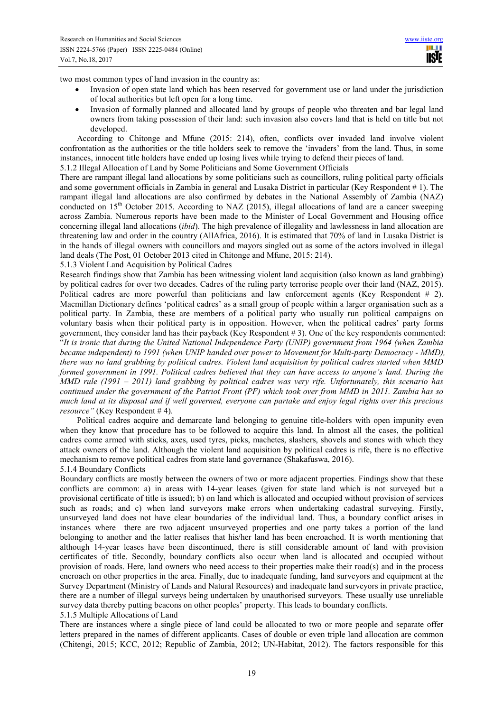HI I **TISIE** 

two most common types of land invasion in the country as:

- Invasion of open state land which has been reserved for government use or land under the jurisdiction of local authorities but left open for a long time.
- Invasion of formally planned and allocated land by groups of people who threaten and bar legal land owners from taking possession of their land: such invasion also covers land that is held on title but not developed.

According to Chitonge and Mfune (2015: 214), often, conflicts over invaded land involve violent confrontation as the authorities or the title holders seek to remove the 'invaders' from the land. Thus, in some instances, innocent title holders have ended up losing lives while trying to defend their pieces of land.

5.1.2 Illegal Allocation of Land by Some Politicians and Some Government Officials

There are rampant illegal land allocations by some politicians such as councillors, ruling political party officials and some government officials in Zambia in general and Lusaka District in particular (Key Respondent # 1). The rampant illegal land allocations are also confirmed by debates in the National Assembly of Zambia (NAZ) conducted on  $15<sup>th</sup>$  October 2015. According to NAZ (2015), illegal allocations of land are a cancer sweeping across Zambia. Numerous reports have been made to the Minister of Local Government and Housing office concerning illegal land allocations (*ibid*). The high prevalence of illegality and lawlessness in land allocation are threatening law and order in the country (AllAfrica, 2016). It is estimated that 70% of land in Lusaka District is in the hands of illegal owners with councillors and mayors singled out as some of the actors involved in illegal land deals (The Post, 01 October 2013 cited in Chitonge and Mfune, 2015: 214).

5.1.3 Violent Land Acquisition by Political Cadres

Research findings show that Zambia has been witnessing violent land acquisition (also known as land grabbing) by political cadres for over two decades. Cadres of the ruling party terrorise people over their land (NAZ, 2015). Political cadres are more powerful than politicians and law enforcement agents (Key Respondent # 2). Macmillan Dictionary defines 'political cadres' as a small group of people within a larger organisation such as a political party. In Zambia, these are members of a political party who usually run political campaigns on voluntary basis when their political party is in opposition. However, when the political cadres' party forms government, they consider land has their payback (Key Respondent # 3). One of the key respondents commented: "*It is ironic that during the United National Independence Party (UNIP) government from 1964 (when Zambia became independent) to 1991 (when UNIP handed over power to Movement for Multi-party Democracy - MMD), there was no land grabbing by political cadres. Violent land acquisition by political cadres started when MMD formed government in 1991. Political cadres believed that they can have access to anyone's land. During the MMD rule (1991 – 2011) land grabbing by political cadres was very rife. Unfortunately, this scenario has continued under the government of the Patriot Front (PF) which took over from MMD in 2011. Zambia has so much land at its disposal and if well governed, everyone can partake and enjoy legal rights over this precious resource"* (Key Respondent # 4).

Political cadres acquire and demarcate land belonging to genuine title-holders with open impunity even when they know that procedure has to be followed to acquire this land. In almost all the cases, the political cadres come armed with sticks, axes, used tyres, picks, machetes, slashers, shovels and stones with which they attack owners of the land. Although the violent land acquisition by political cadres is rife, there is no effective mechanism to remove political cadres from state land governance (Shakafuswa, 2016). 5.1.4 Boundary Conflicts

Boundary conflicts are mostly between the owners of two or more adjacent properties. Findings show that these conflicts are common: a) in areas with 14-year leases (given for state land which is not surveyed but a provisional certificate of title is issued); b) on land which is allocated and occupied without provision of services such as roads; and c) when land surveyors make errors when undertaking cadastral surveying. Firstly, unsurveyed land does not have clear boundaries of the individual land. Thus, a boundary conflict arises in instances where there are two adjacent unsurveyed properties and one party takes a portion of the land belonging to another and the latter realises that his/her land has been encroached. It is worth mentioning that although 14-year leases have been discontinued, there is still considerable amount of land with provision certificates of title. Secondly, boundary conflicts also occur when land is allocated and occupied without provision of roads. Here, land owners who need access to their properties make their road(s) and in the process encroach on other properties in the area. Finally, due to inadequate funding, land surveyors and equipment at the Survey Department (Ministry of Lands and Natural Resources) and inadequate land surveyors in private practice, there are a number of illegal surveys being undertaken by unauthorised surveyors. These usually use unreliable survey data thereby putting beacons on other peoples' property. This leads to boundary conflicts.

5.1.5 Multiple Allocations of Land

There are instances where a single piece of land could be allocated to two or more people and separate offer letters prepared in the names of different applicants. Cases of double or even triple land allocation are common (Chitengi, 2015; KCC, 2012; Republic of Zambia, 2012; UN-Habitat, 2012). The factors responsible for this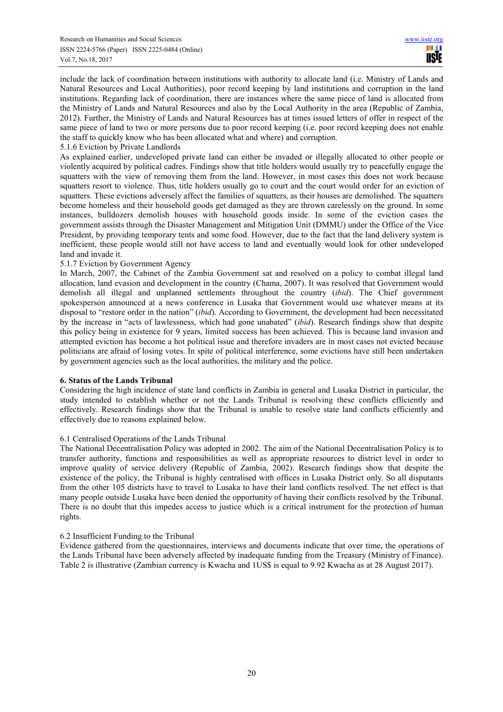include the lack of coordination between institutions with authority to allocate land (i.e. Ministry of Lands and Natural Resources and Local Authorities), poor record keeping by land institutions and corruption in the land institutions. Regarding lack of coordination, there are instances where the same piece of land is allocated from the Ministry of Lands and Natural Resources and also by the Local Authority in the area (Republic of Zambia, 2012). Further, the Ministry of Lands and Natural Resources has at times issued letters of offer in respect of the same piece of land to two or more persons due to poor record keeping (i.e. poor record keeping does not enable the staff to quickly know who has been allocated what and where) and corruption.

#### 5.1.6 Eviction by Private Landlords

As explained earlier, undeveloped private land can either be invaded or illegally allocated to other people or violently acquired by political cadres. Findings show that title holders would usually try to peacefully engage the squatters with the view of removing them from the land. However, in most cases this does not work because squatters resort to violence. Thus, title holders usually go to court and the court would order for an eviction of squatters. These evictions adversely affect the families of squatters, as their houses are demolished. The squatters become homeless and their household goods get damaged as they are thrown carelessly on the ground. In some instances, bulldozers demolish houses with household goods inside. In some of the eviction cases the government assists through the Disaster Management and Mitigation Unit (DMMU) under the Office of the Vice President, by providing temporary tents and some food. However, due to the fact that the land delivery system is inefficient, these people would still not have access to land and eventually would look for other undeveloped land and invade it.

## 5.1.7 Eviction by Government Agency

In March, 2007, the Cabinet of the Zambia Government sat and resolved on a policy to combat illegal land allocation, land evasion and development in the country (Chama, 2007). It was resolved that Government would demolish all illegal and unplanned settlements throughout the country (*ibid*). The Chief government spokesperson announced at a news conference in Lusaka that Government would use whatever means at its disposal to "restore order in the nation" (*ibid*). According to Government, the development had been necessitated by the increase in "acts of lawlessness, which had gone unabated" (*ibid*). Research findings show that despite this policy being in existence for 9 years, limited success has been achieved. This is because land invasion and attempted eviction has become a hot political issue and therefore invaders are in most cases not evicted because politicians are afraid of losing votes. In spite of political interference, some evictions have still been undertaken by government agencies such as the local authorities, the military and the police.

#### **6. Status of the Lands Tribunal**

Considering the high incidence of state land conflicts in Zambia in general and Lusaka District in particular, the study intended to establish whether or not the Lands Tribunal is resolving these conflicts efficiently and effectively. Research findings show that the Tribunal is unable to resolve state land conflicts efficiently and effectively due to reasons explained below.

#### 6.1 Centralised Operations of the Lands Tribunal

The National Decentralisation Policy was adopted in 2002. The aim of the National Decentralisation Policy is to transfer authority, functions and responsibilities as well as appropriate resources to district level in order to improve quality of service delivery (Republic of Zambia, 2002). Research findings show that despite the existence of the policy, the Tribunal is highly centralised with offices in Lusaka District only. So all disputants from the other 105 districts have to travel to Lusaka to have their land conflicts resolved. The net effect is that many people outside Lusaka have been denied the opportunity of having their conflicts resolved by the Tribunal. There is no doubt that this impedes access to justice which is a critical instrument for the protection of human rights.

## 6.2 Insufficient Funding to the Tribunal

Evidence gathered from the questionnaires, interviews and documents indicate that over time, the operations of the Lands Tribunal have been adversely affected by inadequate funding from the Treasury (Ministry of Finance). Table 2 is illustrative (Zambian currency is Kwacha and 1US\$ is equal to 9.92 Kwacha as at 28 August 2017).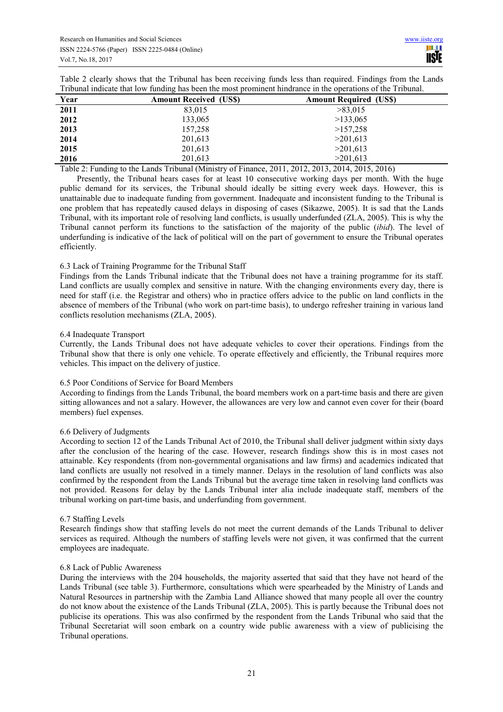| Table 2 clearly shows that the Tribunal has been receiving funds less than required. Findings from the Lands |  |
|--------------------------------------------------------------------------------------------------------------|--|
| Tribunal indicate that low funding has been the most prominent hindrance in the operations of the Tribunal.  |  |

| Year | <b>Amount Received (USS)</b> | <b>Amount Required (USS)</b> |
|------|------------------------------|------------------------------|
| 2011 | 83,015                       | >83,015                      |
| 2012 | 133,065                      | >133,065                     |
| 2013 | 157,258                      | >157,258                     |
| 2014 | 201,613                      | >201,613                     |
| 2015 | 201,613                      | >201,613                     |
| 2016 | 201,613                      | >201.613                     |

Table 2: Funding to the Lands Tribunal (Ministry of Finance, 2011, 2012, 2013, 2014, 2015, 2016)

Presently, the Tribunal hears cases for at least 10 consecutive working days per month. With the huge public demand for its services, the Tribunal should ideally be sitting every week days. However, this is unattainable due to inadequate funding from government. Inadequate and inconsistent funding to the Tribunal is one problem that has repeatedly caused delays in disposing of cases (Sikazwe, 2005). It is sad that the Lands Tribunal, with its important role of resolving land conflicts, is usually underfunded (ZLA, 2005). This is why the Tribunal cannot perform its functions to the satisfaction of the majority of the public (*ibid*). The level of underfunding is indicative of the lack of political will on the part of government to ensure the Tribunal operates efficiently.

## 6.3 Lack of Training Programme for the Tribunal Staff

Findings from the Lands Tribunal indicate that the Tribunal does not have a training programme for its staff. Land conflicts are usually complex and sensitive in nature. With the changing environments every day, there is need for staff (i.e. the Registrar and others) who in practice offers advice to the public on land conflicts in the absence of members of the Tribunal (who work on part-time basis), to undergo refresher training in various land conflicts resolution mechanisms (ZLA, 2005).

#### 6.4 Inadequate Transport

Currently, the Lands Tribunal does not have adequate vehicles to cover their operations. Findings from the Tribunal show that there is only one vehicle. To operate effectively and efficiently, the Tribunal requires more vehicles. This impact on the delivery of justice.

## 6.5 Poor Conditions of Service for Board Members

According to findings from the Lands Tribunal, the board members work on a part-time basis and there are given sitting allowances and not a salary. However, the allowances are very low and cannot even cover for their (board members) fuel expenses.

## 6.6 Delivery of Judgments

According to section 12 of the Lands Tribunal Act of 2010, the Tribunal shall deliver judgment within sixty days after the conclusion of the hearing of the case. However, research findings show this is in most cases not attainable. Key respondents (from non-governmental organisations and law firms) and academics indicated that land conflicts are usually not resolved in a timely manner. Delays in the resolution of land conflicts was also confirmed by the respondent from the Lands Tribunal but the average time taken in resolving land conflicts was not provided. Reasons for delay by the Lands Tribunal inter alia include inadequate staff, members of the tribunal working on part-time basis, and underfunding from government.

#### 6.7 Staffing Levels

Research findings show that staffing levels do not meet the current demands of the Lands Tribunal to deliver services as required. Although the numbers of staffing levels were not given, it was confirmed that the current employees are inadequate.

## 6.8 Lack of Public Awareness

During the interviews with the 204 households, the majority asserted that said that they have not heard of the Lands Tribunal (see table 3). Furthermore, consultations which were spearheaded by the Ministry of Lands and Natural Resources in partnership with the Zambia Land Alliance showed that many people all over the country do not know about the existence of the Lands Tribunal (ZLA, 2005). This is partly because the Tribunal does not publicise its operations. This was also confirmed by the respondent from the Lands Tribunal who said that the Tribunal Secretariat will soon embark on a country wide public awareness with a view of publicising the Tribunal operations.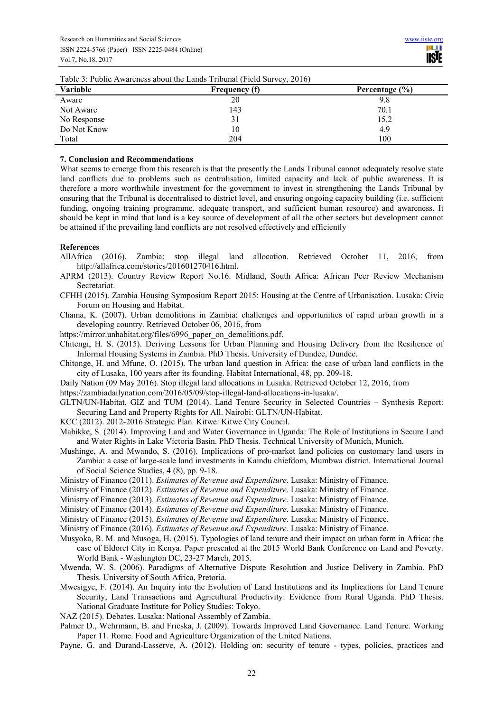| Table 5. Fubile Awareliess about the Lands Tribulial (Field Survey, 2010) |               |                    |  |  |
|---------------------------------------------------------------------------|---------------|--------------------|--|--|
| <b>Variable</b>                                                           | Frequency (f) | Percentage $(\% )$ |  |  |
| Aware                                                                     | 20            | 9.8                |  |  |
| Not Aware                                                                 | 143           | 70.1               |  |  |
| No Response                                                               | 31            | 15.2               |  |  |
| Do Not Know                                                               | 10            | 4.9                |  |  |
| Total                                                                     | 204           | 100                |  |  |
|                                                                           |               |                    |  |  |

Table 3: Public Awareness about the Lands Tribunal (Field Survey, 2016)

#### **7. Conclusion and Recommendations**

What seems to emerge from this research is that the presently the Lands Tribunal cannot adequately resolve state land conflicts due to problems such as centralisation, limited capacity and lack of public awareness. It is therefore a more worthwhile investment for the government to invest in strengthening the Lands Tribunal by ensuring that the Tribunal is decentralised to district level, and ensuring ongoing capacity building (i.e. sufficient funding, ongoing training programme, adequate transport, and sufficient human resource) and awareness. It should be kept in mind that land is a key source of development of all the other sectors but development cannot be attained if the prevailing land conflicts are not resolved effectively and efficiently

#### **References**

- AllAfrica (2016). Zambia: stop illegal land allocation. Retrieved October 11, 2016, from http://allafrica.com/stories/201601270416.html.
- APRM (2013). Country Review Report No.16. Midland, South Africa: African Peer Review Mechanism Secretariat.
- CFHH (2015). Zambia Housing Symposium Report 2015: Housing at the Centre of Urbanisation. Lusaka: Civic Forum on Housing and Habitat.
- Chama, K. (2007). Urban demolitions in Zambia: challenges and opportunities of rapid urban growth in a developing country. Retrieved October 06, 2016, from

https://mirror.unhabitat.org/files/6996\_paper\_on\_demolitions.pdf.

- Chitengi, H. S. (2015). Deriving Lessons for Urban Planning and Housing Delivery from the Resilience of Informal Housing Systems in Zambia. PhD Thesis. University of Dundee, Dundee.
- Chitonge, H. and Mfune, O. (2015). The urban land question in Africa: the case of urban land conflicts in the city of Lusaka, 100 years after its founding. Habitat International, 48, pp. 209-18.
- Daily Nation (09 May 2016). Stop illegal land allocations in Lusaka. Retrieved October 12, 2016, from

https://zambiadailynation.com/2016/05/09/stop-illegal-land-allocations-in-lusaka/.

- GLTN/UN-Habitat, GIZ and TUM (2014). Land Tenure Security in Selected Countries Synthesis Report: Securing Land and Property Rights for All. Nairobi: GLTN/UN-Habitat.
- KCC (2012). 2012-2016 Strategic Plan. Kitwe: Kitwe City Council.
- Mabikke, S. (2014). Improving Land and Water Governance in Uganda: The Role of Institutions in Secure Land and Water Rights in Lake Victoria Basin. PhD Thesis. Technical University of Munich, Munich.
- Mushinge, A. and Mwando, S. (2016). Implications of pro-market land policies on customary land users in Zambia: a case of large-scale land investments in Kaindu chiefdom, Mumbwa district. International Journal of Social Science Studies, 4 (8), pp. 9-18.
- Ministry of Finance (2011). *Estimates of Revenue and Expenditure*. Lusaka: Ministry of Finance.
- Ministry of Finance (2012). *Estimates of Revenue and Expenditure*. Lusaka: Ministry of Finance.
- Ministry of Finance (2013). *Estimates of Revenue and Expenditure*. Lusaka: Ministry of Finance.
- Ministry of Finance (2014). *Estimates of Revenue and Expenditure*. Lusaka: Ministry of Finance.
- Ministry of Finance (2015). *Estimates of Revenue and Expenditure*. Lusaka: Ministry of Finance.
- Ministry of Finance (2016). *Estimates of Revenue and Expenditure*. Lusaka: Ministry of Finance.
- Musyoka, R. M. and Musoga, H. (2015). Typologies of land tenure and their impact on urban form in Africa: the case of Eldoret City in Kenya. Paper presented at the 2015 World Bank Conference on Land and Poverty. World Bank - Washington DC, 23-27 March, 2015.
- Mwenda, W. S. (2006). Paradigms of Alternative Dispute Resolution and Justice Delivery in Zambia. PhD Thesis. University of South Africa, Pretoria.
- Mwesigye, F. (2014). An Inquiry into the Evolution of Land Institutions and its Implications for Land Tenure Security, Land Transactions and Agricultural Productivity: Evidence from Rural Uganda. PhD Thesis. National Graduate Institute for Policy Studies: Tokyo.
- NAZ (2015). Debates. Lusaka: National Assembly of Zambia.
- Palmer D., Wehrmann, B. and Fricska, J. (2009). Towards Improved Land Governance. Land Tenure. Working Paper 11. Rome. Food and Agriculture Organization of the United Nations.
- Payne, G. and Durand-Lasserve, A. (2012). Holding on: security of tenure types, policies, practices and